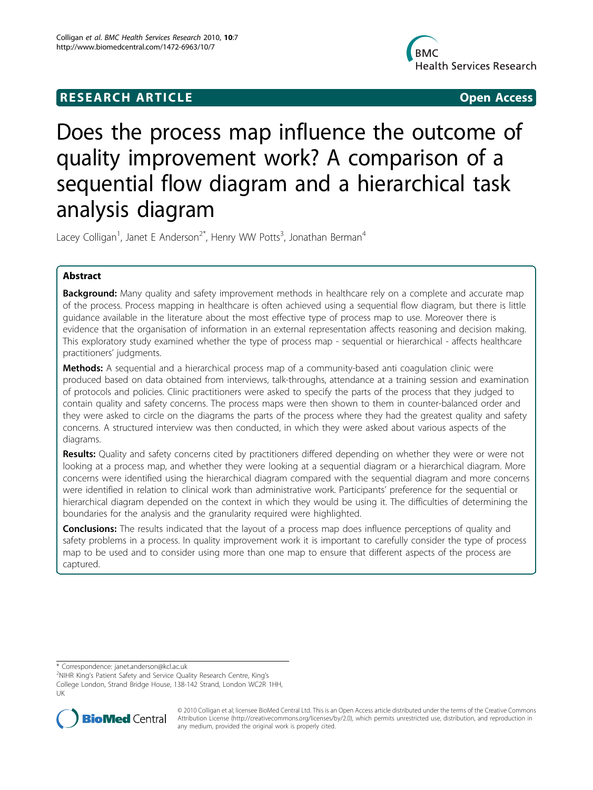## **RESEARCH ARTICLE Example 2018 12:00 Open Access**



# Does the process map influence the outcome of quality improvement work? A comparison of a sequential flow diagram and a hierarchical task analysis diagram

Lacey Colligan<sup>1</sup>, Janet E Anderson<sup>2\*</sup>, Henry WW Potts<sup>3</sup>, Jonathan Berman<sup>4</sup>

## Abstract

**Background:** Many quality and safety improvement methods in healthcare rely on a complete and accurate map of the process. Process mapping in healthcare is often achieved using a sequential flow diagram, but there is little guidance available in the literature about the most effective type of process map to use. Moreover there is evidence that the organisation of information in an external representation affects reasoning and decision making. This exploratory study examined whether the type of process map - sequential or hierarchical - affects healthcare practitioners' judgments.

**Methods:** A sequential and a hierarchical process map of a community-based anti coagulation clinic were produced based on data obtained from interviews, talk-throughs, attendance at a training session and examination of protocols and policies. Clinic practitioners were asked to specify the parts of the process that they judged to contain quality and safety concerns. The process maps were then shown to them in counter-balanced order and they were asked to circle on the diagrams the parts of the process where they had the greatest quality and safety concerns. A structured interview was then conducted, in which they were asked about various aspects of the diagrams.

Results: Quality and safety concerns cited by practitioners differed depending on whether they were or were not looking at a process map, and whether they were looking at a sequential diagram or a hierarchical diagram. More concerns were identified using the hierarchical diagram compared with the sequential diagram and more concerns were identified in relation to clinical work than administrative work. Participants' preference for the sequential or hierarchical diagram depended on the context in which they would be using it. The difficulties of determining the boundaries for the analysis and the granularity required were highlighted.

**Conclusions:** The results indicated that the layout of a process map does influence perceptions of quality and safety problems in a process. In quality improvement work it is important to carefully consider the type of process map to be used and to consider using more than one map to ensure that different aspects of the process are captured.

\* Correspondence: [janet.anderson@kcl.ac.uk](mailto:janet.anderson@kcl.ac.uk)

<sup>2</sup>NIHR King's Patient Safety and Service Quality Research Centre, King's College London, Strand Bridge House, 138-142 Strand, London WC2R 1HH, UK



© 2010 Colligan et al; licensee BioMed Central Ltd. This is an Open Access article distributed under the terms of the Creative Commons Attribution License [\(http://creativecommons.org/licenses/by/2.0](http://creativecommons.org/licenses/by/2.0)), which permits unrestricted use, distribution, and reproduction in any medium, provided the original work is properly cited.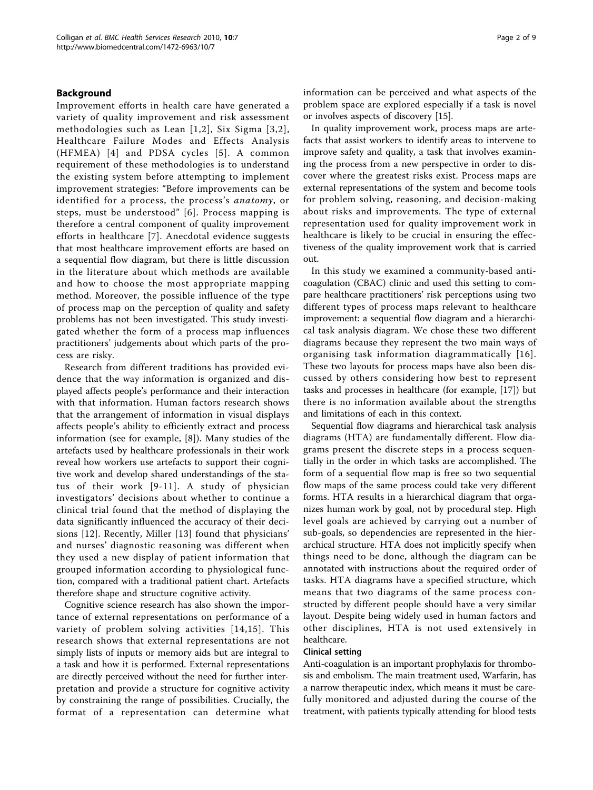#### Background

Improvement efforts in health care have generated a variety of quality improvement and risk assessment methodologies such as Lean [[1,2\]](#page-7-0), Six Sigma [[3,2\]](#page-7-0), Healthcare Failure Modes and Effects Analysis (HFMEA) [[4\]](#page-7-0) and PDSA cycles [[5](#page-8-0)]. A common requirement of these methodologies is to understand the existing system before attempting to implement improvement strategies: "Before improvements can be identified for a process, the process's anatomy, or steps, must be understood" [[6\]](#page-8-0). Process mapping is therefore a central component of quality improvement efforts in healthcare [[7](#page-8-0)]. Anecdotal evidence suggests that most healthcare improvement efforts are based on a sequential flow diagram, but there is little discussion in the literature about which methods are available and how to choose the most appropriate mapping method. Moreover, the possible influence of the type of process map on the perception of quality and safety problems has not been investigated. This study investigated whether the form of a process map influences practitioners' judgements about which parts of the process are risky.

Research from different traditions has provided evidence that the way information is organized and displayed affects people's performance and their interaction with that information. Human factors research shows that the arrangement of information in visual displays affects people's ability to efficiently extract and process information (see for example, [[8\]](#page-8-0)). Many studies of the artefacts used by healthcare professionals in their work reveal how workers use artefacts to support their cognitive work and develop shared understandings of the status of their work [[9-11](#page-8-0)]. A study of physician investigators' decisions about whether to continue a clinical trial found that the method of displaying the data significantly influenced the accuracy of their decisions [[12](#page-8-0)]. Recently, Miller [\[13\]](#page-8-0) found that physicians' and nurses' diagnostic reasoning was different when they used a new display of patient information that grouped information according to physiological function, compared with a traditional patient chart. Artefacts therefore shape and structure cognitive activity.

Cognitive science research has also shown the importance of external representations on performance of a variety of problem solving activities [[14](#page-8-0),[15](#page-8-0)]. This research shows that external representations are not simply lists of inputs or memory aids but are integral to a task and how it is performed. External representations are directly perceived without the need for further interpretation and provide a structure for cognitive activity by constraining the range of possibilities. Crucially, the format of a representation can determine what information can be perceived and what aspects of the problem space are explored especially if a task is novel or involves aspects of discovery [\[15](#page-8-0)].

In quality improvement work, process maps are artefacts that assist workers to identify areas to intervene to improve safety and quality, a task that involves examining the process from a new perspective in order to discover where the greatest risks exist. Process maps are external representations of the system and become tools for problem solving, reasoning, and decision-making about risks and improvements. The type of external representation used for quality improvement work in healthcare is likely to be crucial in ensuring the effectiveness of the quality improvement work that is carried out.

In this study we examined a community-based anticoagulation (CBAC) clinic and used this setting to compare healthcare practitioners' risk perceptions using two different types of process maps relevant to healthcare improvement: a sequential flow diagram and a hierarchical task analysis diagram. We chose these two different diagrams because they represent the two main ways of organising task information diagrammatically [[16\]](#page-8-0). These two layouts for process maps have also been discussed by others considering how best to represent tasks and processes in healthcare (for example, [[17](#page-8-0)]) but there is no information available about the strengths and limitations of each in this context.

Sequential flow diagrams and hierarchical task analysis diagrams (HTA) are fundamentally different. Flow diagrams present the discrete steps in a process sequentially in the order in which tasks are accomplished. The form of a sequential flow map is free so two sequential flow maps of the same process could take very different forms. HTA results in a hierarchical diagram that organizes human work by goal, not by procedural step. High level goals are achieved by carrying out a number of sub-goals, so dependencies are represented in the hierarchical structure. HTA does not implicitly specify when things need to be done, although the diagram can be annotated with instructions about the required order of tasks. HTA diagrams have a specified structure, which means that two diagrams of the same process constructed by different people should have a very similar layout. Despite being widely used in human factors and other disciplines, HTA is not used extensively in healthcare.

#### Clinical setting

Anti-coagulation is an important prophylaxis for thrombosis and embolism. The main treatment used, Warfarin, has a narrow therapeutic index, which means it must be carefully monitored and adjusted during the course of the treatment, with patients typically attending for blood tests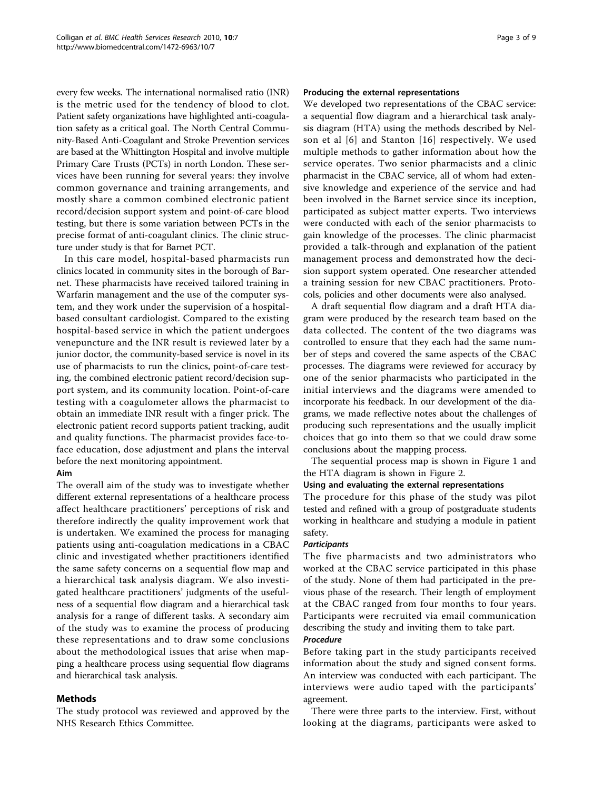every few weeks. The international normalised ratio (INR) is the metric used for the tendency of blood to clot. Patient safety organizations have highlighted anti-coagulation safety as a critical goal. The North Central Community-Based Anti-Coagulant and Stroke Prevention services are based at the Whittington Hospital and involve multiple Primary Care Trusts (PCTs) in north London. These services have been running for several years: they involve common governance and training arrangements, and mostly share a common combined electronic patient record/decision support system and point-of-care blood testing, but there is some variation between PCTs in the precise format of anti-coagulant clinics. The clinic structure under study is that for Barnet PCT.

In this care model, hospital-based pharmacists run clinics located in community sites in the borough of Barnet. These pharmacists have received tailored training in Warfarin management and the use of the computer system, and they work under the supervision of a hospitalbased consultant cardiologist. Compared to the existing hospital-based service in which the patient undergoes venepuncture and the INR result is reviewed later by a junior doctor, the community-based service is novel in its use of pharmacists to run the clinics, point-of-care testing, the combined electronic patient record/decision support system, and its community location. Point-of-care testing with a coagulometer allows the pharmacist to obtain an immediate INR result with a finger prick. The electronic patient record supports patient tracking, audit and quality functions. The pharmacist provides face-toface education, dose adjustment and plans the interval before the next monitoring appointment.

#### Aim

The overall aim of the study was to investigate whether different external representations of a healthcare process affect healthcare practitioners' perceptions of risk and therefore indirectly the quality improvement work that is undertaken. We examined the process for managing patients using anti-coagulation medications in a CBAC clinic and investigated whether practitioners identified the same safety concerns on a sequential flow map and a hierarchical task analysis diagram. We also investigated healthcare practitioners' judgments of the usefulness of a sequential flow diagram and a hierarchical task analysis for a range of different tasks. A secondary aim of the study was to examine the process of producing these representations and to draw some conclusions about the methodological issues that arise when mapping a healthcare process using sequential flow diagrams and hierarchical task analysis.

## Methods

The study protocol was reviewed and approved by the NHS Research Ethics Committee.

#### Producing the external representations

We developed two representations of the CBAC service: a sequential flow diagram and a hierarchical task analysis diagram (HTA) using the methods described by Nelson et al [[6\]](#page-8-0) and Stanton [[16\]](#page-8-0) respectively. We used multiple methods to gather information about how the service operates. Two senior pharmacists and a clinic pharmacist in the CBAC service, all of whom had extensive knowledge and experience of the service and had been involved in the Barnet service since its inception, participated as subject matter experts. Two interviews were conducted with each of the senior pharmacists to gain knowledge of the processes. The clinic pharmacist provided a talk-through and explanation of the patient management process and demonstrated how the decision support system operated. One researcher attended a training session for new CBAC practitioners. Protocols, policies and other documents were also analysed.

A draft sequential flow diagram and a draft HTA diagram were produced by the research team based on the data collected. The content of the two diagrams was controlled to ensure that they each had the same number of steps and covered the same aspects of the CBAC processes. The diagrams were reviewed for accuracy by one of the senior pharmacists who participated in the initial interviews and the diagrams were amended to incorporate his feedback. In our development of the diagrams, we made reflective notes about the challenges of producing such representations and the usually implicit choices that go into them so that we could draw some conclusions about the mapping process.

The sequential process map is shown in Figure [1](#page-3-0) and the HTA diagram is shown in Figure [2](#page-3-0).

## Using and evaluating the external representations

The procedure for this phase of the study was pilot tested and refined with a group of postgraduate students working in healthcare and studying a module in patient safety.

## **Participants**

The five pharmacists and two administrators who worked at the CBAC service participated in this phase of the study. None of them had participated in the previous phase of the research. Their length of employment at the CBAC ranged from four months to four years. Participants were recruited via email communication describing the study and inviting them to take part. Procedure

Before taking part in the study participants received information about the study and signed consent forms. An interview was conducted with each participant. The interviews were audio taped with the participants' agreement.

There were three parts to the interview. First, without looking at the diagrams, participants were asked to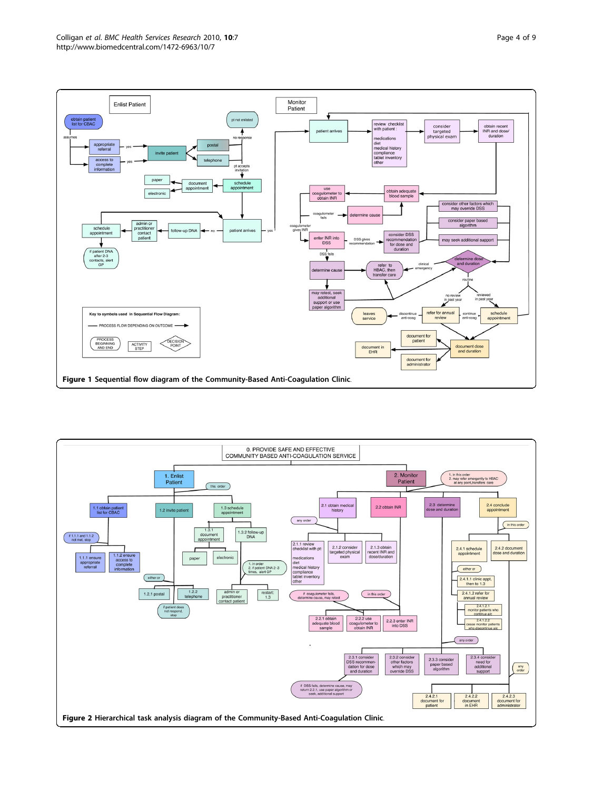<span id="page-3-0"></span>

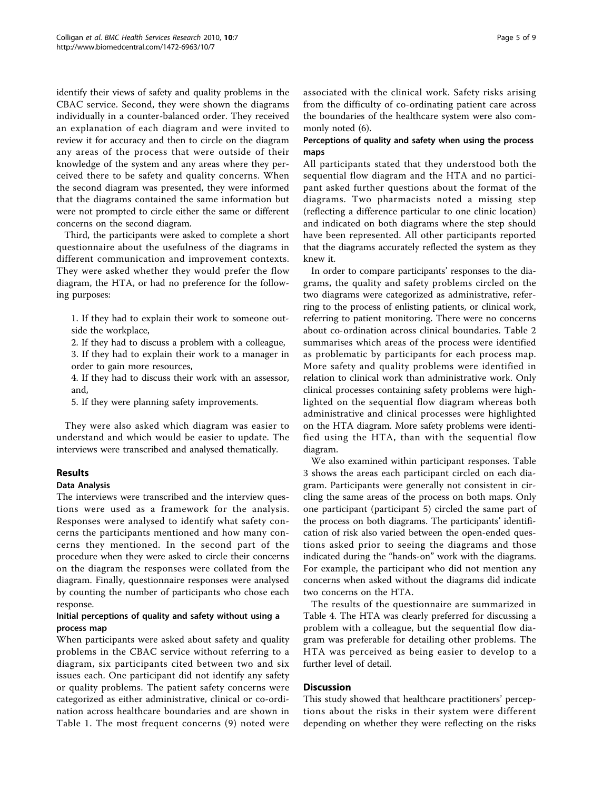identify their views of safety and quality problems in the CBAC service. Second, they were shown the diagrams individually in a counter-balanced order. They received an explanation of each diagram and were invited to review it for accuracy and then to circle on the diagram any areas of the process that were outside of their knowledge of the system and any areas where they perceived there to be safety and quality concerns. When the second diagram was presented, they were informed that the diagrams contained the same information but were not prompted to circle either the same or different concerns on the second diagram.

Third, the participants were asked to complete a short questionnaire about the usefulness of the diagrams in different communication and improvement contexts. They were asked whether they would prefer the flow diagram, the HTA, or had no preference for the following purposes:

1. If they had to explain their work to someone outside the workplace,

2. If they had to discuss a problem with a colleague,

3. If they had to explain their work to a manager in order to gain more resources,

4. If they had to discuss their work with an assessor, and,

5. If they were planning safety improvements.

They were also asked which diagram was easier to understand and which would be easier to update. The interviews were transcribed and analysed thematically.

## Results

#### Data Analysis

The interviews were transcribed and the interview questions were used as a framework for the analysis. Responses were analysed to identify what safety concerns the participants mentioned and how many concerns they mentioned. In the second part of the procedure when they were asked to circle their concerns on the diagram the responses were collated from the diagram. Finally, questionnaire responses were analysed by counting the number of participants who chose each response.

## Initial perceptions of quality and safety without using a process map

When participants were asked about safety and quality problems in the CBAC service without referring to a diagram, six participants cited between two and six issues each. One participant did not identify any safety or quality problems. The patient safety concerns were categorized as either administrative, clinical or co-ordination across healthcare boundaries and are shown in Table [1](#page-5-0). The most frequent concerns (9) noted were associated with the clinical work. Safety risks arising from the difficulty of co-ordinating patient care across the boundaries of the healthcare system were also commonly noted (6).

## Perceptions of quality and safety when using the process maps

All participants stated that they understood both the sequential flow diagram and the HTA and no participant asked further questions about the format of the diagrams. Two pharmacists noted a missing step (reflecting a difference particular to one clinic location) and indicated on both diagrams where the step should have been represented. All other participants reported that the diagrams accurately reflected the system as they knew it.

In order to compare participants' responses to the diagrams, the quality and safety problems circled on the two diagrams were categorized as administrative, referring to the process of enlisting patients, or clinical work, referring to patient monitoring. There were no concerns about co-ordination across clinical boundaries. Table [2](#page-5-0) summarises which areas of the process were identified as problematic by participants for each process map. More safety and quality problems were identified in relation to clinical work than administrative work. Only clinical processes containing safety problems were highlighted on the sequential flow diagram whereas both administrative and clinical processes were highlighted on the HTA diagram. More safety problems were identified using the HTA, than with the sequential flow diagram.

We also examined within participant responses. Table [3](#page-6-0) shows the areas each participant circled on each diagram. Participants were generally not consistent in circling the same areas of the process on both maps. Only one participant (participant 5) circled the same part of the process on both diagrams. The participants' identification of risk also varied between the open-ended questions asked prior to seeing the diagrams and those indicated during the "hands-on" work with the diagrams. For example, the participant who did not mention any concerns when asked without the diagrams did indicate two concerns on the HTA.

The results of the questionnaire are summarized in Table [4.](#page-6-0) The HTA was clearly preferred for discussing a problem with a colleague, but the sequential flow diagram was preferable for detailing other problems. The HTA was perceived as being easier to develop to a further level of detail.

## **Discussion**

This study showed that healthcare practitioners' perceptions about the risks in their system were different depending on whether they were reflecting on the risks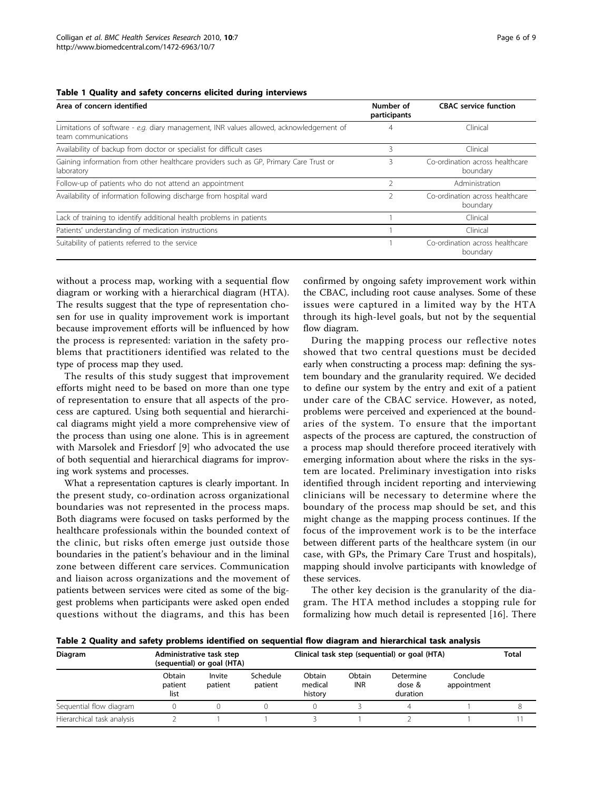| Area of concern identified                                                                                     | Number of<br>participants | <b>CBAC</b> service function                |
|----------------------------------------------------------------------------------------------------------------|---------------------------|---------------------------------------------|
| Limitations of software - e.g. diary management, INR values allowed, acknowledgement of<br>team communications | 4                         | Clinical                                    |
| Availability of backup from doctor or specialist for difficult cases                                           | 3                         | Clinical                                    |
| Gaining information from other healthcare providers such as GP, Primary Care Trust or<br>laboratory            | 3                         | Co-ordination across healthcare<br>boundary |
| Follow-up of patients who do not attend an appointment                                                         | 2                         | Administration                              |
| Availability of information following discharge from hospital ward                                             | $\mathfrak{D}$            | Co-ordination across healthcare<br>boundary |
| Lack of training to identify additional health problems in patients                                            |                           | Clinical                                    |
| Patients' understanding of medication instructions                                                             |                           | Clinical                                    |
| Suitability of patients referred to the service                                                                |                           | Co-ordination across healthcare<br>boundary |

<span id="page-5-0"></span>Table 1 Quality and safety concerns elicited during interviews

without a process map, working with a sequential flow diagram or working with a hierarchical diagram (HTA). The results suggest that the type of representation chosen for use in quality improvement work is important because improvement efforts will be influenced by how the process is represented: variation in the safety problems that practitioners identified was related to the type of process map they used.

The results of this study suggest that improvement efforts might need to be based on more than one type of representation to ensure that all aspects of the process are captured. Using both sequential and hierarchical diagrams might yield a more comprehensive view of the process than using one alone. This is in agreement with Marsolek and Friesdorf [[9\]](#page-8-0) who advocated the use of both sequential and hierarchical diagrams for improving work systems and processes.

What a representation captures is clearly important. In the present study, co-ordination across organizational boundaries was not represented in the process maps. Both diagrams were focused on tasks performed by the healthcare professionals within the bounded context of the clinic, but risks often emerge just outside those boundaries in the patient's behaviour and in the liminal zone between different care services. Communication and liaison across organizations and the movement of patients between services were cited as some of the biggest problems when participants were asked open ended questions without the diagrams, and this has been

confirmed by ongoing safety improvement work within the CBAC, including root cause analyses. Some of these issues were captured in a limited way by the HTA through its high-level goals, but not by the sequential flow diagram.

During the mapping process our reflective notes showed that two central questions must be decided early when constructing a process map: defining the system boundary and the granularity required. We decided to define our system by the entry and exit of a patient under care of the CBAC service. However, as noted, problems were perceived and experienced at the boundaries of the system. To ensure that the important aspects of the process are captured, the construction of a process map should therefore proceed iteratively with emerging information about where the risks in the system are located. Preliminary investigation into risks identified through incident reporting and interviewing clinicians will be necessary to determine where the boundary of the process map should be set, and this might change as the mapping process continues. If the focus of the improvement work is to be the interface between different parts of the healthcare system (in our case, with GPs, the Primary Care Trust and hospitals), mapping should involve participants with knowledge of these services.

The other key decision is the granularity of the diagram. The HTA method includes a stopping rule for formalizing how much detail is represented [[16\]](#page-8-0). There

Table 2 Quality and safety problems identified on sequential flow diagram and hierarchical task analysis

| Diagram                    | Administrative task step<br>(sequential) or goal (HTA) |                   |                     | Clinical task step (sequential) or goal (HTA) | <b>Total</b>         |                                 |                         |  |
|----------------------------|--------------------------------------------------------|-------------------|---------------------|-----------------------------------------------|----------------------|---------------------------------|-------------------------|--|
|                            | Obtain<br>patient<br>list                              | Invite<br>patient | Schedule<br>patient | Obtain<br>medical<br>history                  | Obtain<br><b>INR</b> | Determine<br>dose &<br>duration | Conclude<br>appointment |  |
| Sequential flow diagram    |                                                        |                   |                     |                                               |                      |                                 |                         |  |
| Hierarchical task analysis |                                                        |                   |                     |                                               |                      |                                 |                         |  |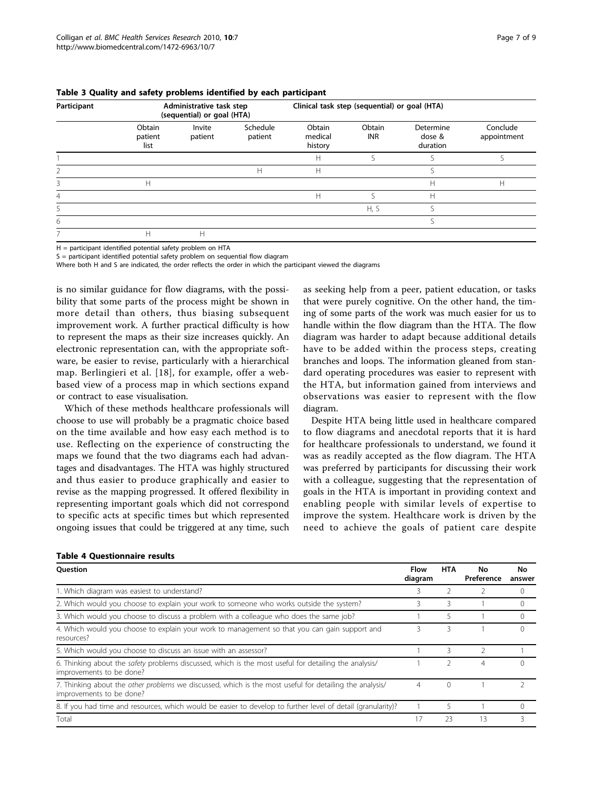|                | Obtain          |                   |                     |                              |                      | Clinical task step (sequential) or goal (HTA) |                         |  |  |
|----------------|-----------------|-------------------|---------------------|------------------------------|----------------------|-----------------------------------------------|-------------------------|--|--|
|                | patient<br>list | Invite<br>patient | Schedule<br>patient | Obtain<br>medical<br>history | Obtain<br><b>INR</b> | Determine<br>dose &<br>duration               | Conclude<br>appointment |  |  |
|                |                 |                   |                     |                              |                      |                                               |                         |  |  |
| $\mathfrak{D}$ |                 |                   | Н                   | Н                            |                      | c                                             |                         |  |  |
|                | $\mathsf{H}$    |                   |                     |                              |                      | Н                                             | H                       |  |  |
|                |                 |                   |                     | н                            | ς                    | Н                                             |                         |  |  |
|                |                 |                   |                     |                              | H, S                 |                                               |                         |  |  |
| 6              |                 |                   |                     |                              |                      |                                               |                         |  |  |
|                | $\mathsf{H}$    | Н                 |                     |                              |                      |                                               |                         |  |  |

<span id="page-6-0"></span>

|  |  |  |  |  |  |  |  |  | Table 3 Quality and safety problems identified by each participant |
|--|--|--|--|--|--|--|--|--|--------------------------------------------------------------------|
|--|--|--|--|--|--|--|--|--|--------------------------------------------------------------------|

H = participant identified potential safety problem on HTA

S = participant identified potential safety problem on sequential flow diagram

Where both H and S are indicated, the order reflects the order in which the participant viewed the diagrams

is no similar guidance for flow diagrams, with the possibility that some parts of the process might be shown in more detail than others, thus biasing subsequent improvement work. A further practical difficulty is how to represent the maps as their size increases quickly. An electronic representation can, with the appropriate software, be easier to revise, particularly with a hierarchical map. Berlingieri et al. [\[18\]](#page-8-0), for example, offer a webbased view of a process map in which sections expand or contract to ease visualisation.

Which of these methods healthcare professionals will choose to use will probably be a pragmatic choice based on the time available and how easy each method is to use. Reflecting on the experience of constructing the maps we found that the two diagrams each had advantages and disadvantages. The HTA was highly structured and thus easier to produce graphically and easier to revise as the mapping progressed. It offered flexibility in representing important goals which did not correspond to specific acts at specific times but which represented ongoing issues that could be triggered at any time, such

as seeking help from a peer, patient education, or tasks that were purely cognitive. On the other hand, the timing of some parts of the work was much easier for us to handle within the flow diagram than the HTA. The flow diagram was harder to adapt because additional details have to be added within the process steps, creating branches and loops. The information gleaned from standard operating procedures was easier to represent with the HTA, but information gained from interviews and observations was easier to represent with the flow diagram.

Despite HTA being little used in healthcare compared to flow diagrams and anecdotal reports that it is hard for healthcare professionals to understand, we found it was as readily accepted as the flow diagram. The HTA was preferred by participants for discussing their work with a colleague, suggesting that the representation of goals in the HTA is important in providing context and enabling people with similar levels of expertise to improve the system. Healthcare work is driven by the need to achieve the goals of patient care despite

| <b>Ouestion</b>                                                                                                                     | Flow<br>diagram | <b>HTA</b> | No<br>Preference | No.<br>answer |
|-------------------------------------------------------------------------------------------------------------------------------------|-----------------|------------|------------------|---------------|
| 1. Which diagram was easiest to understand?                                                                                         | 3               |            |                  | $\Omega$      |
| 2. Which would you choose to explain your work to someone who works outside the system?                                             | 3               | 3          |                  | $\Omega$      |
| 3. Which would you choose to discuss a problem with a colleague who does the same job?                                              |                 | 5          |                  | $\Omega$      |
| 4. Which would you choose to explain your work to management so that you can gain support and<br>resources?                         | 3               | 3          |                  | $\Omega$      |
| 5. Which would you choose to discuss an issue with an assessor?                                                                     |                 | ς          | 2                |               |
| 6. Thinking about the safety problems discussed, which is the most useful for detailing the analysis/<br>improvements to be done?   |                 |            | 4                | $\Omega$      |
| 7. Thinking about the other problems we discussed, which is the most useful for detailing the analysis/<br>improvements to be done? | 4               | $\Omega$   |                  |               |
| 8. If you had time and resources, which would be easier to develop to further level of detail (granularity)?                        |                 | 5          |                  | $\Omega$      |
| Total                                                                                                                               | 17              | 23         | 13               | ζ             |
|                                                                                                                                     |                 |            |                  |               |

## Table 4 Questionnaire results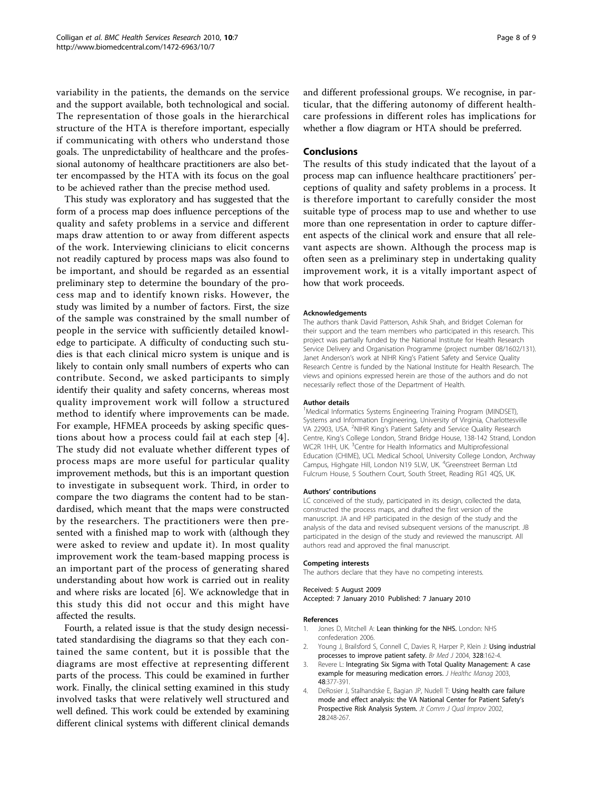<span id="page-7-0"></span>variability in the patients, the demands on the service and the support available, both technological and social. The representation of those goals in the hierarchical structure of the HTA is therefore important, especially if communicating with others who understand those goals. The unpredictability of healthcare and the professional autonomy of healthcare practitioners are also better encompassed by the HTA with its focus on the goal to be achieved rather than the precise method used.

This study was exploratory and has suggested that the form of a process map does influence perceptions of the quality and safety problems in a service and different maps draw attention to or away from different aspects of the work. Interviewing clinicians to elicit concerns not readily captured by process maps was also found to be important, and should be regarded as an essential preliminary step to determine the boundary of the process map and to identify known risks. However, the study was limited by a number of factors. First, the size of the sample was constrained by the small number of people in the service with sufficiently detailed knowledge to participate. A difficulty of conducting such studies is that each clinical micro system is unique and is likely to contain only small numbers of experts who can contribute. Second, we asked participants to simply identify their quality and safety concerns, whereas most quality improvement work will follow a structured method to identify where improvements can be made. For example, HFMEA proceeds by asking specific questions about how a process could fail at each step [4]. The study did not evaluate whether different types of process maps are more useful for particular quality improvement methods, but this is an important question to investigate in subsequent work. Third, in order to compare the two diagrams the content had to be standardised, which meant that the maps were constructed by the researchers. The practitioners were then presented with a finished map to work with (although they were asked to review and update it). In most quality improvement work the team-based mapping process is an important part of the process of generating shared understanding about how work is carried out in reality and where risks are located [\[6](#page-8-0)]. We acknowledge that in this study this did not occur and this might have affected the results.

Fourth, a related issue is that the study design necessitated standardising the diagrams so that they each contained the same content, but it is possible that the diagrams are most effective at representing different parts of the process. This could be examined in further work. Finally, the clinical setting examined in this study involved tasks that were relatively well structured and well defined. This work could be extended by examining different clinical systems with different clinical demands and different professional groups. We recognise, in particular, that the differing autonomy of different healthcare professions in different roles has implications for whether a flow diagram or HTA should be preferred.

#### Conclusions

The results of this study indicated that the layout of a process map can influence healthcare practitioners' perceptions of quality and safety problems in a process. It is therefore important to carefully consider the most suitable type of process map to use and whether to use more than one representation in order to capture different aspects of the clinical work and ensure that all relevant aspects are shown. Although the process map is often seen as a preliminary step in undertaking quality improvement work, it is a vitally important aspect of how that work proceeds.

#### Acknowledgements

The authors thank David Patterson, Ashik Shah, and Bridget Coleman for their support and the team members who participated in this research. This project was partially funded by the National Institute for Health Research Service Delivery and Organisation Programme (project number 08/1602/131). Janet Anderson's work at NIHR King's Patient Safety and Service Quality Research Centre is funded by the National Institute for Health Research. The views and opinions expressed herein are those of the authors and do not necessarily reflect those of the Department of Health.

#### Author details

<sup>1</sup>Medical Informatics Systems Engineering Training Program (MINDSET), Systems and Information Engineering, University of Virginia, Charlottesville VA 22903, USA. <sup>2</sup>NIHR King's Patient Safety and Service Quality Research Centre, King's College London, Strand Bridge House, 138-142 Strand, London WC2R 1HH, UK. <sup>3</sup>Centre for Health Informatics and Multiprofessional Education (CHIME), UCL Medical School, University College London, Archway Campus, Highgate Hill, London N19 5LW, UK. <sup>4</sup>Greenstreet Berman Ltd Fulcrum House, 5 Southern Court, South Street, Reading RG1 4QS, UK.

#### Authors' contributions

LC conceived of the study, participated in its design, collected the data, constructed the process maps, and drafted the first version of the manuscript. JA and HP participated in the design of the study and the analysis of the data and revised subsequent versions of the manuscript. JB participated in the design of the study and reviewed the manuscript. All authors read and approved the final manuscript.

#### Competing interests

The authors declare that they have no competing interests.

## Received: 5 August 2009

Accepted: 7 January 2010 Published: 7 January 2010

#### References

- Jones D, Mitchell A: Lean thinking for the NHS. London: NHS confederation 2006.
- 2. Young J, Brailsford S, Connell C, Davies R, Harper P, Klein J: Using industrial processes to improve patient safety. Br Med J 2004, 328:162-4.
- 3. Revere L: [Integrating Six Sigma with Total Quality Management: A case](http://www.ncbi.nlm.nih.gov/pubmed/14671947?dopt=Abstract) [example for measuring medication errors.](http://www.ncbi.nlm.nih.gov/pubmed/14671947?dopt=Abstract) J Healthc Manag 2003, 48:377-391.
- 4. DeRosier J, Stalhandske E, Bagian JP, Nudell T: [Using health care failure](http://www.ncbi.nlm.nih.gov/pubmed/12053459?dopt=Abstract) [mode and effect analysis: the VA National Center for Patient Safety](http://www.ncbi.nlm.nih.gov/pubmed/12053459?dopt=Abstract)'s [Prospective Risk Analysis System.](http://www.ncbi.nlm.nih.gov/pubmed/12053459?dopt=Abstract) Jt Comm J Qual Improv 2002, 28:248-267.